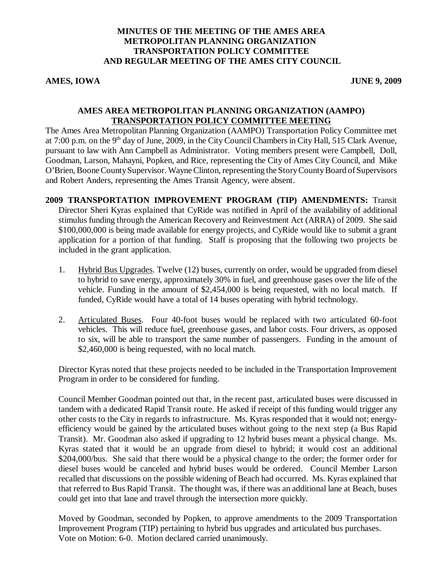### **MINUTES OF THE MEETING OF THE AMES AREA METROPOLITAN PLANNING ORGANIZATION TRANSPORTATION POLICY COMMITTEE AND REGULAR MEETING OF THE AMES CITY COUNCIL**

#### **AMES, IOWA** JUNE 9, 2009

### **AMES AREA METROPOLITAN PLANNING ORGANIZATION (AAMPO) TRANSPORTATION POLICY COMMITTEE MEETING**

The Ames Area Metropolitan Planning Organization (AAMPO) Transportation Policy Committee met at 7:00 p.m. on the 9<sup>th</sup> day of June, 2009, in the City Council Chambers in City Hall, 515 Clark Avenue, pursuant to law with Ann Campbell as Administrator. Voting members present were Campbell, Doll, Goodman, Larson, Mahayni, Popken, and Rice, representing the City of Ames City Council, and Mike O'Brien, Boone County Supervisor. Wayne Clinton, representing the Story County Board of Supervisors and Robert Anders, representing the Ames Transit Agency, were absent.

- **2009 TRANSPORTATION IMPROVEMENT PROGRAM (TIP) AMENDMENTS:** Transit Director Sheri Kyras explained that CyRide was notified in April of the availability of additional stimulus funding through the American Recovery and Reinvestment Act (ARRA) of 2009. She said \$100,000,000 is being made available for energy projects, and CyRide would like to submit a grant application for a portion of that funding. Staff is proposing that the following two projects be included in the grant application.
	- 1. Hybrid Bus Upgrades. Twelve (12) buses, currently on order, would be upgraded from diesel to hybrid to save energy, approximately 30% in fuel, and greenhouse gases over the life of the vehicle. Funding in the amount of \$2,454,000 is being requested, with no local match. If funded, CyRide would have a total of 14 buses operating with hybrid technology.
	- 2. Articulated Buses. Four 40-foot buses would be replaced with two articulated 60-foot vehicles. This will reduce fuel, greenhouse gases, and labor costs. Four drivers, as opposed to six, will be able to transport the same number of passengers. Funding in the amount of \$2,460,000 is being requested, with no local match.

Director Kyras noted that these projects needed to be included in the Transportation Improvement Program in order to be considered for funding.

Council Member Goodman pointed out that, in the recent past, articulated buses were discussed in tandem with a dedicated Rapid Transit route. He asked if receipt of this funding would trigger any other costs to the City in regards to infrastructure. Ms. Kyras responded that it would not; energyefficiency would be gained by the articulated buses without going to the next step (a Bus Rapid Transit). Mr. Goodman also asked if upgrading to 12 hybrid buses meant a physical change. Ms. Kyras stated that it would be an upgrade from diesel to hybrid; it would cost an additional \$204,000/bus. She said that there would be a physical change to the order; the former order for diesel buses would be canceled and hybrid buses would be ordered. Council Member Larson recalled that discussions on the possible widening of Beach had occurred. Ms. Kyras explained that that referred to Bus Rapid Transit. The thought was, if there was an additional lane at Beach, buses could get into that lane and travel through the intersection more quickly.

Moved by Goodman, seconded by Popken, to approve amendments to the 2009 Transportation Improvement Program (TIP) pertaining to hybrid bus upgrades and articulated bus purchases. Vote on Motion: 6-0. Motion declared carried unanimously.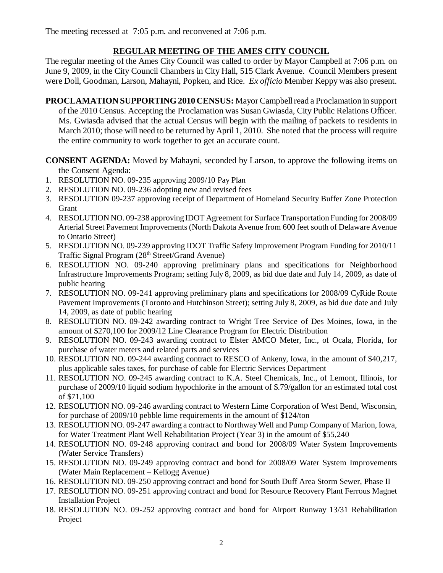The meeting recessed at 7:05 p.m. and reconvened at 7:06 p.m.

## **REGULAR MEETING OF THE AMES CITY COUNCIL**

The regular meeting of the Ames City Council was called to order by Mayor Campbell at 7:06 p.m. on June 9, 2009, in the City Council Chambers in City Hall, 515 Clark Avenue. Council Members present were Doll, Goodman, Larson, Mahayni, Popken, and Rice. *Ex officio* Member Keppy was also present.

**PROCLAMATION SUPPORTING 2010 CENSUS:** Mayor Campbell read a Proclamation in support of the 2010 Census. Accepting the Proclamation was Susan Gwiasda, City Public Relations Officer. Ms. Gwiasda advised that the actual Census will begin with the mailing of packets to residents in March 2010; those will need to be returned by April 1, 2010. She noted that the process will require the entire community to work together to get an accurate count.

**CONSENT AGENDA:** Moved by Mahayni, seconded by Larson, to approve the following items on the Consent Agenda:

- 1. RESOLUTION NO. 09-235 approving 2009/10 Pay Plan
- 2. RESOLUTION NO. 09-236 adopting new and revised fees
- 3. RESOLUTION 09-237 approving receipt of Department of Homeland Security Buffer Zone Protection **Grant**
- 4. RESOLUTION NO. 09-238 approving IDOT Agreement for Surface Transportation Funding for 2008/09 Arterial Street Pavement Improvements (North Dakota Avenue from 600 feet south of Delaware Avenue to Ontario Street)
- 5. RESOLUTION NO. 09-239 approving IDOT Traffic Safety Improvement Program Funding for 2010/11 Traffic Signal Program (28th Street/Grand Avenue)
- 6. RESOLUTION NO. 09-240 approving preliminary plans and specifications for Neighborhood Infrastructure Improvements Program; setting July 8, 2009, as bid due date and July 14, 2009, as date of public hearing
- 7. RESOLUTION NO. 09-241 approving preliminary plans and specifications for 2008/09 CyRide Route Pavement Improvements (Toronto and Hutchinson Street); setting July 8, 2009, as bid due date and July 14, 2009, as date of public hearing
- 8. RESOLUTION NO. 09-242 awarding contract to Wright Tree Service of Des Moines, Iowa, in the amount of \$270,100 for 2009/12 Line Clearance Program for Electric Distribution
- 9. RESOLUTION NO. 09-243 awarding contract to Elster AMCO Meter, Inc., of Ocala, Florida, for purchase of water meters and related parts and services
- 10. RESOLUTION NO. 09-244 awarding contract to RESCO of Ankeny, Iowa, in the amount of \$40,217, plus applicable sales taxes, for purchase of cable for Electric Services Department
- 11. RESOLUTION NO. 09-245 awarding contract to K.A. Steel Chemicals, Inc., of Lemont, Illinois, for purchase of 2009/10 liquid sodium hypochlorite in the amount of \$.79/gallon for an estimated total cost of \$71,100
- 12. RESOLUTION NO. 09-246 awarding contract to Western Lime Corporation of West Bend, Wisconsin, for purchase of 2009/10 pebble lime requirements in the amount of \$124/ton
- 13. RESOLUTION NO. 09-247 awarding a contract to Northway Well and Pump Company of Marion, Iowa, for Water Treatment Plant Well Rehabilitation Project (Year 3) in the amount of \$55,240
- 14. RESOLUTION NO. 09-248 approving contract and bond for 2008/09 Water System Improvements (Water Service Transfers)
- 15. RESOLUTION NO. 09-249 approving contract and bond for 2008/09 Water System Improvements (Water Main Replacement – Kellogg Avenue)
- 16. RESOLUTION NO. 09-250 approving contract and bond for South Duff Area Storm Sewer, Phase II
- 17. RESOLUTION NO. 09-251 approving contract and bond for Resource Recovery Plant Ferrous Magnet Installation Project
- 18. RESOLUTION NO. 09-252 approving contract and bond for Airport Runway 13/31 Rehabilitation Project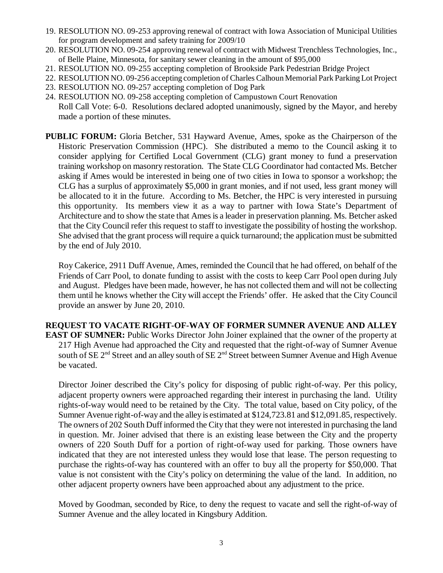- 19. RESOLUTION NO. 09-253 approving renewal of contract with Iowa Association of Municipal Utilities for program development and safety training for 2009/10
- 20. RESOLUTION NO. 09-254 approving renewal of contract with Midwest Trenchless Technologies, Inc., of Belle Plaine, Minnesota, for sanitary sewer cleaning in the amount of \$95,000
- 21. RESOLUTION NO. 09-255 accepting completion of Brookside Park Pedestrian Bridge Project
- 22. RESOLUTION NO. 09-256 accepting completion of Charles Calhoun Memorial Park Parking Lot Project
- 23. RESOLUTION NO. 09-257 accepting completion of Dog Park
- 24. RESOLUTION NO. 09-258 accepting completion of Campustown Court Renovation Roll Call Vote: 6-0. Resolutions declared adopted unanimously, signed by the Mayor, and hereby made a portion of these minutes.
- **PUBLIC FORUM:** Gloria Betcher, 531 Hayward Avenue, Ames, spoke as the Chairperson of the Historic Preservation Commission (HPC). She distributed a memo to the Council asking it to consider applying for Certified Local Government (CLG) grant money to fund a preservation training workshop on masonry restoration. The State CLG Coordinator had contacted Ms. Betcher asking if Ames would be interested in being one of two cities in Iowa to sponsor a workshop; the CLG has a surplus of approximately \$5,000 in grant monies, and if not used, less grant money will be allocated to it in the future. According to Ms. Betcher, the HPC is very interested in pursuing this opportunity. Its members view it as a way to partner with Iowa State's Department of Architecture and to show the state that Ames is a leader in preservation planning. Ms. Betcher asked that the City Council refer this request to staff to investigate the possibility of hosting the workshop. She advised that the grant process will require a quick turnaround; the application must be submitted by the end of July 2010.

Roy Cakerice, 2911 Duff Avenue, Ames, reminded the Council that he had offered, on behalf of the Friends of Carr Pool, to donate funding to assist with the costs to keep Carr Pool open during July and August. Pledges have been made, however, he has not collected them and will not be collecting them until he knows whether the City will accept the Friends' offer. He asked that the City Council provide an answer by June 20, 2010.

**REQUEST TO VACATE RIGHT-OF-WAY OF FORMER SUMNER AVENUE AND ALLEY EAST OF SUMNER:** Public Works Director John Joiner explained that the owner of the property at 217 High Avenue had approached the City and requested that the right-of-way of Sumner Avenue south of SE 2<sup>nd</sup> Street and an alley south of SE 2<sup>nd</sup> Street between Sumner Avenue and High Avenue be vacated.

Director Joiner described the City's policy for disposing of public right-of-way. Per this policy, adjacent property owners were approached regarding their interest in purchasing the land. Utility rights-of-way would need to be retained by the City. The total value, based on City policy, of the Sumner Avenue right-of-way and the alley is estimated at \$124,723.81 and \$12,091.85, respectively. The owners of 202 South Duff informed the City that they were not interested in purchasing the land in question. Mr. Joiner advised that there is an existing lease between the City and the property owners of 220 South Duff for a portion of right-of-way used for parking. Those owners have indicated that they are not interested unless they would lose that lease. The person requesting to purchase the rights-of-way has countered with an offer to buy all the property for \$50,000. That value is not consistent with the City's policy on determining the value of the land. In addition, no other adjacent property owners have been approached about any adjustment to the price.

Moved by Goodman, seconded by Rice, to deny the request to vacate and sell the right-of-way of Sumner Avenue and the alley located in Kingsbury Addition.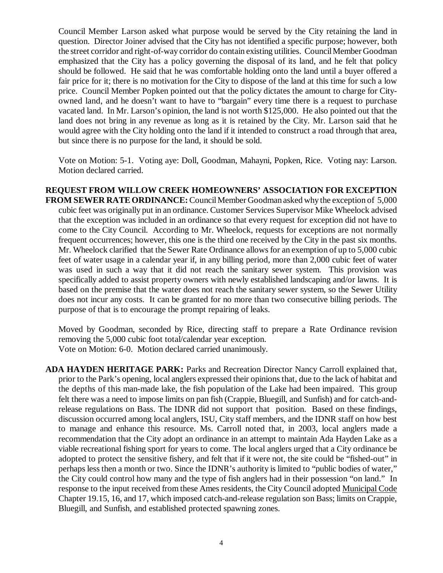Council Member Larson asked what purpose would be served by the City retaining the land in question. Director Joiner advised that the City has not identified a specific purpose; however, both the street corridor and right-of-way corridor do contain existing utilities. Council Member Goodman emphasized that the City has a policy governing the disposal of its land, and he felt that policy should be followed. He said that he was comfortable holding onto the land until a buyer offered a fair price for it; there is no motivation for the City to dispose of the land at this time for such a low price. Council Member Popken pointed out that the policy dictates the amount to charge for Cityowned land, and he doesn't want to have to "bargain" every time there is a request to purchase vacated land. In Mr. Larson's opinion, the land is not worth \$125,000. He also pointed out that the land does not bring in any revenue as long as it is retained by the City. Mr. Larson said that he would agree with the City holding onto the land if it intended to construct a road through that area, but since there is no purpose for the land, it should be sold.

Vote on Motion: 5-1. Voting aye: Doll, Goodman, Mahayni, Popken, Rice. Voting nay: Larson. Motion declared carried.

**REQUEST FROM WILLOW CREEK HOMEOWNERS' ASSOCIATION FOR EXCEPTION FROM SEWER RATE ORDINANCE:** Council Member Goodman asked why the exception of 5,000 cubic feet was originally put in an ordinance. Customer Services Supervisor Mike Wheelock advised that the exception was included in an ordinance so that every request for exception did not have to come to the City Council. According to Mr. Wheelock, requests for exceptions are not normally frequent occurrences; however, this one is the third one received by the City in the past six months. Mr. Wheelock clarified that the Sewer Rate Ordinance allows for an exemption of up to 5,000 cubic feet of water usage in a calendar year if, in any billing period, more than 2,000 cubic feet of water was used in such a way that it did not reach the sanitary sewer system. This provision was specifically added to assist property owners with newly established landscaping and/or lawns. It is based on the premise that the water does not reach the sanitary sewer system, so the Sewer Utility does not incur any costs. It can be granted for no more than two consecutive billing periods. The purpose of that is to encourage the prompt repairing of leaks.

Moved by Goodman, seconded by Rice, directing staff to prepare a Rate Ordinance revision removing the 5,000 cubic foot total/calendar year exception. Vote on Motion: 6-0. Motion declared carried unanimously.

**ADA HAYDEN HERITAGE PARK:** Parks and Recreation Director Nancy Carroll explained that, prior to the Park's opening, local anglers expressed their opinions that, due to the lack of habitat and the depths of this man-made lake, the fish population of the Lake had been impaired. This group felt there was a need to impose limits on pan fish (Crappie, Bluegill, and Sunfish) and for catch-andrelease regulations on Bass. The IDNR did not support that position. Based on these findings, discussion occurred among local anglers, ISU, City staff members, and the IDNR staff on how best to manage and enhance this resource. Ms. Carroll noted that, in 2003, local anglers made a recommendation that the City adopt an ordinance in an attempt to maintain Ada Hayden Lake as a viable recreational fishing sport for years to come. The local anglers urged that a City ordinance be adopted to protect the sensitive fishery, and felt that if it were not, the site could be "fished-out" in perhaps less then a month or two. Since the IDNR's authority is limited to "public bodies of water," the City could control how many and the type of fish anglers had in their possession "on land." In response to the input received from these Ames residents, the City Council adopted Municipal Code Chapter 19.15, 16, and 17, which imposed catch-and-release regulation son Bass; limits on Crappie, Bluegill, and Sunfish, and established protected spawning zones.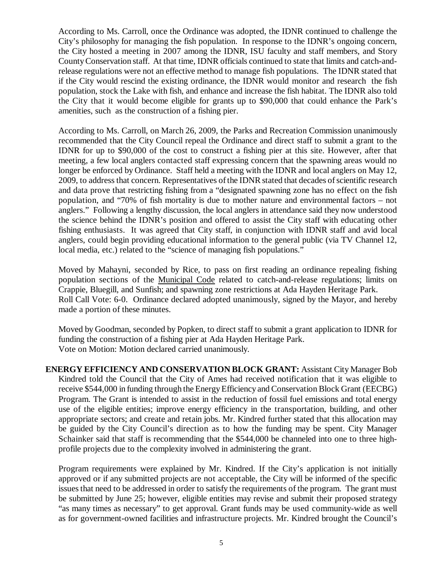According to Ms. Carroll, once the Ordinance was adopted, the IDNR continued to challenge the City's philosophy for managing the fish population. In response to the IDNR's ongoing concern, the City hosted a meeting in 2007 among the IDNR, ISU faculty and staff members, and Story County Conservation staff. At that time, IDNR officials continued to state that limits and catch-andrelease regulations were not an effective method to manage fish populations. The IDNR stated that if the City would rescind the existing ordinance, the IDNR would monitor and research the fish population, stock the Lake with fish, and enhance and increase the fish habitat. The IDNR also told the City that it would become eligible for grants up to \$90,000 that could enhance the Park's amenities, such as the construction of a fishing pier.

According to Ms. Carroll, on March 26, 2009, the Parks and Recreation Commission unanimously recommended that the City Council repeal the Ordinance and direct staff to submit a grant to the IDNR for up to \$90,000 of the cost to construct a fishing pier at this site. However, after that meeting, a few local anglers contacted staff expressing concern that the spawning areas would no longer be enforced by Ordinance. Staff held a meeting with the IDNR and local anglers on May 12, 2009, to address that concern. Representatives of the IDNR stated that decades of scientific research and data prove that restricting fishing from a "designated spawning zone has no effect on the fish population, and "70% of fish mortality is due to mother nature and environmental factors – not anglers." Following a lengthy discussion, the local anglers in attendance said they now understood the science behind the IDNR's position and offered to assist the City staff with educating other fishing enthusiasts. It was agreed that City staff, in conjunction with IDNR staff and avid local anglers, could begin providing educational information to the general public (via TV Channel 12, local media, etc.) related to the "science of managing fish populations."

Moved by Mahayni, seconded by Rice, to pass on first reading an ordinance repealing fishing population sections of the Municipal Code related to catch-and-release regulations; limits on Crappie, Bluegill, and Sunfish; and spawning zone restrictions at Ada Hayden Heritage Park. Roll Call Vote: 6-0. Ordinance declared adopted unanimously, signed by the Mayor, and hereby made a portion of these minutes.

Moved by Goodman, seconded by Popken, to direct staff to submit a grant application to IDNR for funding the construction of a fishing pier at Ada Hayden Heritage Park. Vote on Motion: Motion declared carried unanimously.

**ENERGY EFFICIENCY AND CONSERVATION BLOCK GRANT:** Assistant City Manager Bob Kindred told the Council that the City of Ames had received notification that it was eligible to receive \$544,000 in funding through the Energy Efficiency and Conservation Block Grant (EECBG) Program. The Grant is intended to assist in the reduction of fossil fuel emissions and total energy use of the eligible entities; improve energy efficiency in the transportation, building, and other appropriate sectors; and create and retain jobs. Mr. Kindred further stated that this allocation may be guided by the City Council's direction as to how the funding may be spent. City Manager Schainker said that staff is recommending that the \$544,000 be channeled into one to three highprofile projects due to the complexity involved in administering the grant.

Program requirements were explained by Mr. Kindred. If the City's application is not initially approved or if any submitted projects are not acceptable, the City will be informed of the specific issues that need to be addressed in order to satisfy the requirements of the program. The grant must be submitted by June 25; however, eligible entities may revise and submit their proposed strategy "as many times as necessary" to get approval. Grant funds may be used community-wide as well as for government-owned facilities and infrastructure projects. Mr. Kindred brought the Council's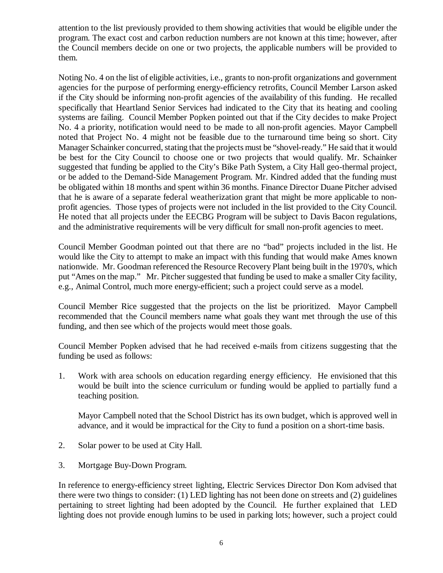attention to the list previously provided to them showing activities that would be eligible under the program. The exact cost and carbon reduction numbers are not known at this time; however, after the Council members decide on one or two projects, the applicable numbers will be provided to them.

Noting No. 4 on the list of eligible activities, i.e., grants to non-profit organizations and government agencies for the purpose of performing energy-efficiency retrofits, Council Member Larson asked if the City should be informing non-profit agencies of the availability of this funding. He recalled specifically that Heartland Senior Services had indicated to the City that its heating and cooling systems are failing. Council Member Popken pointed out that if the City decides to make Project No. 4 a priority, notification would need to be made to all non-profit agencies. Mayor Campbell noted that Project No. 4 might not be feasible due to the turnaround time being so short. City Manager Schainker concurred, stating that the projects must be "shovel-ready." He said that it would be best for the City Council to choose one or two projects that would qualify. Mr. Schainker suggested that funding be applied to the City's Bike Path System, a City Hall geo-thermal project, or be added to the Demand-Side Management Program. Mr. Kindred added that the funding must be obligated within 18 months and spent within 36 months. Finance Director Duane Pitcher advised that he is aware of a separate federal weatherization grant that might be more applicable to nonprofit agencies. Those types of projects were not included in the list provided to the City Council. He noted that all projects under the EECBG Program will be subject to Davis Bacon regulations, and the administrative requirements will be very difficult for small non-profit agencies to meet.

Council Member Goodman pointed out that there are no "bad" projects included in the list. He would like the City to attempt to make an impact with this funding that would make Ames known nationwide. Mr. Goodman referenced the Resource Recovery Plant being built in the 1970's, which put "Ames on the map." Mr. Pitcher suggested that funding be used to make a smaller City facility, e.g., Animal Control, much more energy-efficient; such a project could serve as a model.

Council Member Rice suggested that the projects on the list be prioritized. Mayor Campbell recommended that the Council members name what goals they want met through the use of this funding, and then see which of the projects would meet those goals.

Council Member Popken advised that he had received e-mails from citizens suggesting that the funding be used as follows:

1. Work with area schools on education regarding energy efficiency. He envisioned that this would be built into the science curriculum or funding would be applied to partially fund a teaching position.

Mayor Campbell noted that the School District has its own budget, which is approved well in advance, and it would be impractical for the City to fund a position on a short-time basis.

- 2. Solar power to be used at City Hall.
- 3. Mortgage Buy-Down Program.

In reference to energy-efficiency street lighting, Electric Services Director Don Kom advised that there were two things to consider: (1) LED lighting has not been done on streets and (2) guidelines pertaining to street lighting had been adopted by the Council. He further explained that LED lighting does not provide enough lumins to be used in parking lots; however, such a project could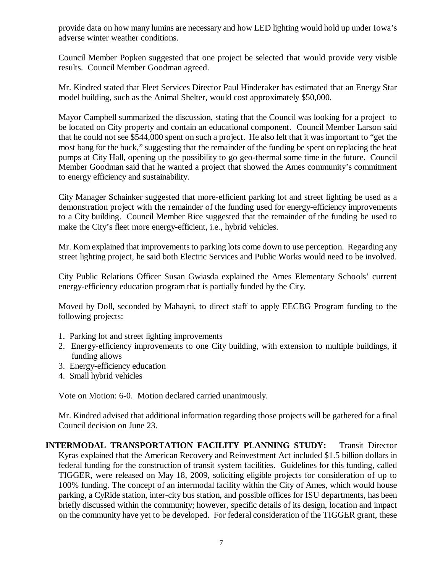provide data on how many lumins are necessary and how LED lighting would hold up under Iowa's adverse winter weather conditions.

Council Member Popken suggested that one project be selected that would provide very visible results. Council Member Goodman agreed.

Mr. Kindred stated that Fleet Services Director Paul Hinderaker has estimated that an Energy Star model building, such as the Animal Shelter, would cost approximately \$50,000.

Mayor Campbell summarized the discussion, stating that the Council was looking for a project to be located on City property and contain an educational component. Council Member Larson said that he could not see \$544,000 spent on such a project. He also felt that it was important to "get the most bang for the buck," suggesting that the remainder of the funding be spent on replacing the heat pumps at City Hall, opening up the possibility to go geo-thermal some time in the future. Council Member Goodman said that he wanted a project that showed the Ames community's commitment to energy efficiency and sustainability.

City Manager Schainker suggested that more-efficient parking lot and street lighting be used as a demonstration project with the remainder of the funding used for energy-efficiency improvements to a City building. Council Member Rice suggested that the remainder of the funding be used to make the City's fleet more energy-efficient, i.e., hybrid vehicles.

Mr. Kom explained that improvements to parking lots come down to use perception. Regarding any street lighting project, he said both Electric Services and Public Works would need to be involved.

City Public Relations Officer Susan Gwiasda explained the Ames Elementary Schools' current energy-efficiency education program that is partially funded by the City.

Moved by Doll, seconded by Mahayni, to direct staff to apply EECBG Program funding to the following projects:

- 1. Parking lot and street lighting improvements
- 2. Energy-efficiency improvements to one City building, with extension to multiple buildings, if funding allows
- 3. Energy-efficiency education
- 4. Small hybrid vehicles

Vote on Motion: 6-0. Motion declared carried unanimously.

Mr. Kindred advised that additional information regarding those projects will be gathered for a final Council decision on June 23.

**INTERMODAL TRANSPORTATION FACILITY PLANNING STUDY:** Transit Director Kyras explained that the American Recovery and Reinvestment Act included \$1.5 billion dollars in federal funding for the construction of transit system facilities. Guidelines for this funding, called TIGGER, were released on May 18, 2009, soliciting eligible projects for consideration of up to 100% funding. The concept of an intermodal facility within the City of Ames, which would house parking, a CyRide station, inter-city bus station, and possible offices for ISU departments, has been briefly discussed within the community; however, specific details of its design, location and impact on the community have yet to be developed. For federal consideration of the TIGGER grant, these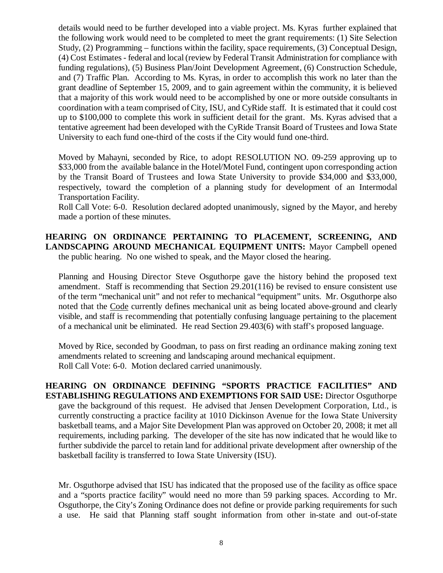details would need to be further developed into a viable project. Ms. Kyras further explained that the following work would need to be completed to meet the grant requirements: (1) Site Selection Study, (2) Programming – functions within the facility, space requirements, (3) Conceptual Design, (4) Cost Estimates - federal and local (review by Federal Transit Administration for compliance with funding regulations), (5) Business Plan/Joint Development Agreement, (6) Construction Schedule, and (7) Traffic Plan. According to Ms. Kyras, in order to accomplish this work no later than the grant deadline of September 15, 2009, and to gain agreement within the community, it is believed that a majority of this work would need to be accomplished by one or more outside consultants in coordination with a team comprised of City, ISU, and CyRide staff. It is estimated that it could cost up to \$100,000 to complete this work in sufficient detail for the grant. Ms. Kyras advised that a tentative agreement had been developed with the CyRide Transit Board of Trustees and Iowa State University to each fund one-third of the costs if the City would fund one-third.

Moved by Mahayni, seconded by Rice, to adopt RESOLUTION NO. 09-259 approving up to \$33,000 from the available balance in the Hotel/Motel Fund, contingent upon corresponding action by the Transit Board of Trustees and Iowa State University to provide \$34,000 and \$33,000, respectively, toward the completion of a planning study for development of an Intermodal Transportation Facility.

Roll Call Vote: 6-0. Resolution declared adopted unanimously, signed by the Mayor, and hereby made a portion of these minutes.

**HEARING ON ORDINANCE PERTAINING TO PLACEMENT, SCREENING, AND LANDSCAPING AROUND MECHANICAL EQUIPMENT UNITS:** Mayor Campbell opened the public hearing. No one wished to speak, and the Mayor closed the hearing.

Planning and Housing Director Steve Osguthorpe gave the history behind the proposed text amendment. Staff is recommending that Section 29.201(116) be revised to ensure consistent use of the term "mechanical unit" and not refer to mechanical "equipment" units. Mr. Osguthorpe also noted that the Code currently defines mechanical unit as being located above-ground and clearly visible, and staff is recommending that potentially confusing language pertaining to the placement of a mechanical unit be eliminated. He read Section 29.403(6) with staff's proposed language.

Moved by Rice, seconded by Goodman, to pass on first reading an ordinance making zoning text amendments related to screening and landscaping around mechanical equipment. Roll Call Vote: 6-0. Motion declared carried unanimously.

**HEARING ON ORDINANCE DEFINING "SPORTS PRACTICE FACILITIES" AND ESTABLISHING REGULATIONS AND EXEMPTIONS FOR SAID USE:** Director Osguthorpe gave the background of this request. He advised that Jensen Development Corporation, Ltd., is currently constructing a practice facility at 1010 Dickinson Avenue for the Iowa State University basketball teams, and a Major Site Development Plan was approved on October 20, 2008; it met all requirements, including parking. The developer of the site has now indicated that he would like to further subdivide the parcel to retain land for additional private development after ownership of the basketball facility is transferred to Iowa State University (ISU).

Mr. Osguthorpe advised that ISU has indicated that the proposed use of the facility as office space and a "sports practice facility" would need no more than 59 parking spaces. According to Mr. Osguthorpe, the City's Zoning Ordinance does not define or provide parking requirements for such a use. He said that Planning staff sought information from other in-state and out-of-state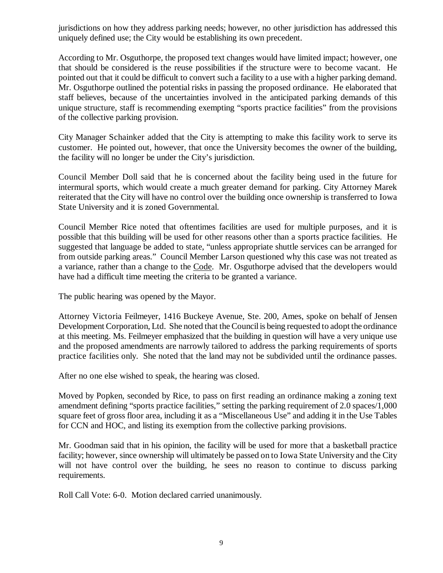jurisdictions on how they address parking needs; however, no other jurisdiction has addressed this uniquely defined use; the City would be establishing its own precedent.

According to Mr. Osguthorpe, the proposed text changes would have limited impact; however, one that should be considered is the reuse possibilities if the structure were to become vacant. He pointed out that it could be difficult to convert such a facility to a use with a higher parking demand. Mr. Osguthorpe outlined the potential risks in passing the proposed ordinance. He elaborated that staff believes, because of the uncertainties involved in the anticipated parking demands of this unique structure, staff is recommending exempting "sports practice facilities" from the provisions of the collective parking provision.

City Manager Schainker added that the City is attempting to make this facility work to serve its customer. He pointed out, however, that once the University becomes the owner of the building, the facility will no longer be under the City's jurisdiction.

Council Member Doll said that he is concerned about the facility being used in the future for intermural sports, which would create a much greater demand for parking. City Attorney Marek reiterated that the City will have no control over the building once ownership is transferred to Iowa State University and it is zoned Governmental.

Council Member Rice noted that oftentimes facilities are used for multiple purposes, and it is possible that this building will be used for other reasons other than a sports practice facilities. He suggested that language be added to state, "unless appropriate shuttle services can be arranged for from outside parking areas." Council Member Larson questioned why this case was not treated as a variance, rather than a change to the Code. Mr. Osguthorpe advised that the developers would have had a difficult time meeting the criteria to be granted a variance.

The public hearing was opened by the Mayor.

Attorney Victoria Feilmeyer, 1416 Buckeye Avenue, Ste. 200, Ames, spoke on behalf of Jensen Development Corporation, Ltd. She noted that the Council is being requested to adopt the ordinance at this meeting. Ms. Feilmeyer emphasized that the building in question will have a very unique use and the proposed amendments are narrowly tailored to address the parking requirements of sports practice facilities only. She noted that the land may not be subdivided until the ordinance passes.

After no one else wished to speak, the hearing was closed.

Moved by Popken, seconded by Rice, to pass on first reading an ordinance making a zoning text amendment defining "sports practice facilities," setting the parking requirement of 2.0 spaces/1,000 square feet of gross floor area, including it as a "Miscellaneous Use" and adding it in the Use Tables for CCN and HOC, and listing its exemption from the collective parking provisions.

Mr. Goodman said that in his opinion, the facility will be used for more that a basketball practice facility; however, since ownership will ultimately be passed on to Iowa State University and the City will not have control over the building, he sees no reason to continue to discuss parking requirements.

Roll Call Vote: 6-0. Motion declared carried unanimously.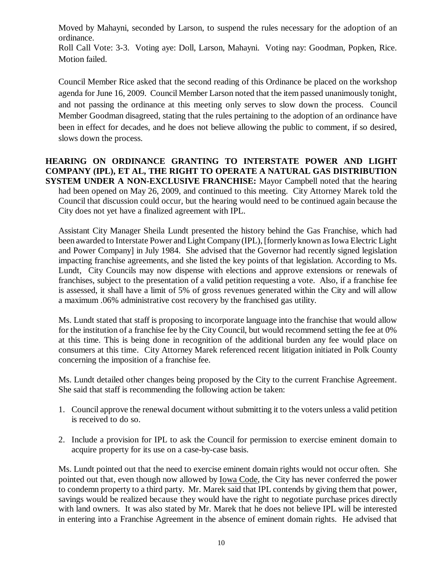Moved by Mahayni, seconded by Larson, to suspend the rules necessary for the adoption of an ordinance.

Roll Call Vote: 3-3. Voting aye: Doll, Larson, Mahayni. Voting nay: Goodman, Popken, Rice. Motion failed.

Council Member Rice asked that the second reading of this Ordinance be placed on the workshop agenda for June 16, 2009. Council Member Larson noted that the item passed unanimously tonight, and not passing the ordinance at this meeting only serves to slow down the process. Council Member Goodman disagreed, stating that the rules pertaining to the adoption of an ordinance have been in effect for decades, and he does not believe allowing the public to comment, if so desired, slows down the process.

**HEARING ON ORDINANCE GRANTING TO INTERSTATE POWER AND LIGHT COMPANY (IPL), ET AL, THE RIGHT TO OPERATE A NATURAL GAS DISTRIBUTION SYSTEM UNDER A NON-EXCLUSIVE FRANCHISE:** Mayor Campbell noted that the hearing had been opened on May 26, 2009, and continued to this meeting. City Attorney Marek told the Council that discussion could occur, but the hearing would need to be continued again because the City does not yet have a finalized agreement with IPL.

Assistant City Manager Sheila Lundt presented the history behind the Gas Franchise, which had been awarded to Interstate Power and Light Company (IPL), [formerly known as Iowa Electric Light and Power Company] in July 1984. She advised that the Governor had recently signed legislation impacting franchise agreements, and she listed the key points of that legislation. According to Ms. Lundt, City Councils may now dispense with elections and approve extensions or renewals of franchises, subject to the presentation of a valid petition requesting a vote. Also, if a franchise fee is assessed, it shall have a limit of 5% of gross revenues generated within the City and will allow a maximum .06% administrative cost recovery by the franchised gas utility.

Ms. Lundt stated that staff is proposing to incorporate language into the franchise that would allow for the institution of a franchise fee by the City Council, but would recommend setting the fee at 0% at this time. This is being done in recognition of the additional burden any fee would place on consumers at this time. City Attorney Marek referenced recent litigation initiated in Polk County concerning the imposition of a franchise fee.

Ms. Lundt detailed other changes being proposed by the City to the current Franchise Agreement. She said that staff is recommending the following action be taken:

- 1. Council approve the renewal document without submitting it to the voters unless a valid petition is received to do so.
- 2. Include a provision for IPL to ask the Council for permission to exercise eminent domain to acquire property for its use on a case-by-case basis.

Ms. Lundt pointed out that the need to exercise eminent domain rights would not occur often. She pointed out that, even though now allowed by Iowa Code, the City has never conferred the power to condemn property to a third party. Mr. Marek said that IPL contends by giving them that power, savings would be realized because they would have the right to negotiate purchase prices directly with land owners. It was also stated by Mr. Marek that he does not believe IPL will be interested in entering into a Franchise Agreement in the absence of eminent domain rights. He advised that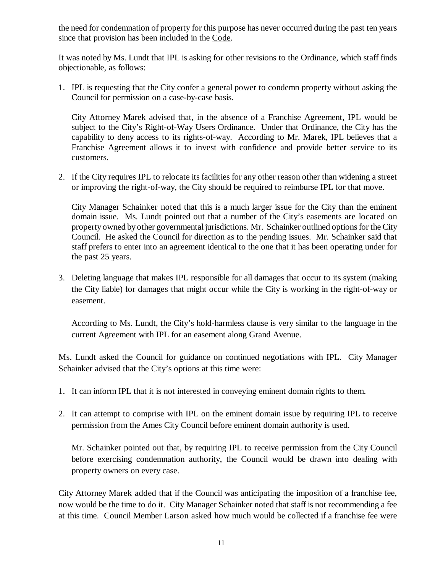the need for condemnation of property for this purpose has never occurred during the past ten years since that provision has been included in the Code.

It was noted by Ms. Lundt that IPL is asking for other revisions to the Ordinance, which staff finds objectionable, as follows:

1. IPL is requesting that the City confer a general power to condemn property without asking the Council for permission on a case-by-case basis.

City Attorney Marek advised that, in the absence of a Franchise Agreement, IPL would be subject to the City's Right-of-Way Users Ordinance. Under that Ordinance, the City has the capability to deny access to its rights-of-way. According to Mr. Marek, IPL believes that a Franchise Agreement allows it to invest with confidence and provide better service to its customers.

2. If the City requires IPL to relocate its facilities for any other reason other than widening a street or improving the right-of-way, the City should be required to reimburse IPL for that move.

City Manager Schainker noted that this is a much larger issue for the City than the eminent domain issue. Ms. Lundt pointed out that a number of the City's easements are located on property owned by other governmental jurisdictions. Mr. Schainker outlined options for the City Council. He asked the Council for direction as to the pending issues. Mr. Schainker said that staff prefers to enter into an agreement identical to the one that it has been operating under for the past 25 years.

3. Deleting language that makes IPL responsible for all damages that occur to its system (making the City liable) for damages that might occur while the City is working in the right-of-way or easement.

According to Ms. Lundt, the City's hold-harmless clause is very similar to the language in the current Agreement with IPL for an easement along Grand Avenue.

Ms. Lundt asked the Council for guidance on continued negotiations with IPL. City Manager Schainker advised that the City's options at this time were:

- 1. It can inform IPL that it is not interested in conveying eminent domain rights to them.
- 2. It can attempt to comprise with IPL on the eminent domain issue by requiring IPL to receive permission from the Ames City Council before eminent domain authority is used.

Mr. Schainker pointed out that, by requiring IPL to receive permission from the City Council before exercising condemnation authority, the Council would be drawn into dealing with property owners on every case.

City Attorney Marek added that if the Council was anticipating the imposition of a franchise fee, now would be the time to do it. City Manager Schainker noted that staff is not recommending a fee at this time. Council Member Larson asked how much would be collected if a franchise fee were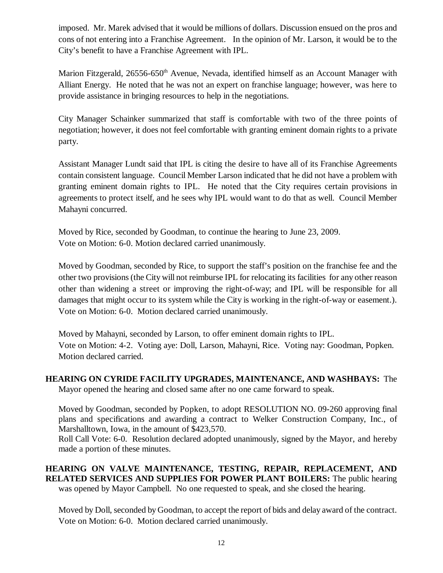imposed. Mr. Marek advised that it would be millions of dollars. Discussion ensued on the pros and cons of not entering into a Franchise Agreement. In the opinion of Mr. Larson, it would be to the City's benefit to have a Franchise Agreement with IPL.

Marion Fitzgerald, 26556-650<sup>th</sup> Avenue, Nevada, identified himself as an Account Manager with Alliant Energy. He noted that he was not an expert on franchise language; however, was here to provide assistance in bringing resources to help in the negotiations.

City Manager Schainker summarized that staff is comfortable with two of the three points of negotiation; however, it does not feel comfortable with granting eminent domain rights to a private party.

Assistant Manager Lundt said that IPL is citing the desire to have all of its Franchise Agreements contain consistent language. Council Member Larson indicated that he did not have a problem with granting eminent domain rights to IPL. He noted that the City requires certain provisions in agreements to protect itself, and he sees why IPL would want to do that as well. Council Member Mahayni concurred.

Moved by Rice, seconded by Goodman, to continue the hearing to June 23, 2009. Vote on Motion: 6-0. Motion declared carried unanimously.

Moved by Goodman, seconded by Rice, to support the staff's position on the franchise fee and the other two provisions (the City will not reimburse IPL for relocating its facilities for any other reason other than widening a street or improving the right-of-way; and IPL will be responsible for all damages that might occur to its system while the City is working in the right-of-way or easement.). Vote on Motion: 6-0. Motion declared carried unanimously.

Moved by Mahayni, seconded by Larson, to offer eminent domain rights to IPL. Vote on Motion: 4-2. Voting aye: Doll, Larson, Mahayni, Rice. Voting nay: Goodman, Popken. Motion declared carried.

**HEARING ON CYRIDE FACILITY UPGRADES, MAINTENANCE, AND WASHBAYS:** The Mayor opened the hearing and closed same after no one came forward to speak.

Moved by Goodman, seconded by Popken, to adopt RESOLUTION NO. 09-260 approving final plans and specifications and awarding a contract to Welker Construction Company, Inc., of Marshalltown, Iowa, in the amount of \$423,570.

Roll Call Vote: 6-0. Resolution declared adopted unanimously, signed by the Mayor, and hereby made a portion of these minutes.

### **HEARING ON VALVE MAINTENANCE, TESTING, REPAIR, REPLACEMENT, AND RELATED SERVICES AND SUPPLIES FOR POWER PLANT BOILERS:** The public hearing was opened by Mayor Campbell. No one requested to speak, and she closed the hearing.

Moved by Doll, seconded by Goodman, to accept the report of bids and delay award of the contract. Vote on Motion: 6-0. Motion declared carried unanimously.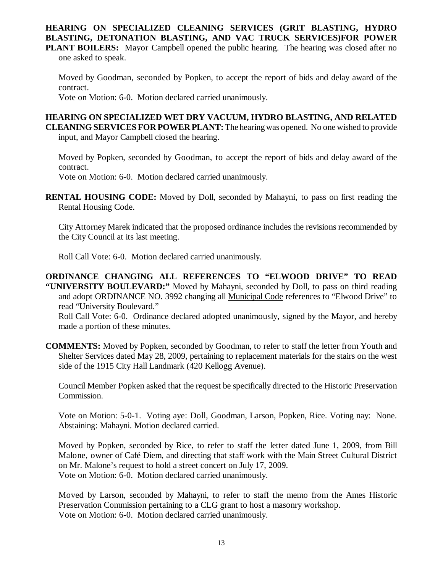# **HEARING ON SPECIALIZED CLEANING SERVICES (GRIT BLASTING, HYDRO BLASTING, DETONATION BLASTING, AND VAC TRUCK SERVICES)FOR POWER**

**PLANT BOILERS:** Mayor Campbell opened the public hearing. The hearing was closed after no one asked to speak.

Moved by Goodman, seconded by Popken, to accept the report of bids and delay award of the contract.

Vote on Motion: 6-0. Motion declared carried unanimously.

### **HEARING ON SPECIALIZED WET DRY VACUUM, HYDRO BLASTING, AND RELATED CLEANING SERVICES FOR POWER PLANT:** The hearing was opened. No one wished to provide

input, and Mayor Campbell closed the hearing.

Moved by Popken, seconded by Goodman, to accept the report of bids and delay award of the contract.

Vote on Motion: 6-0. Motion declared carried unanimously.

**RENTAL HOUSING CODE:** Moved by Doll, seconded by Mahayni, to pass on first reading the Rental Housing Code.

City Attorney Marek indicated that the proposed ordinance includes the revisions recommended by the City Council at its last meeting.

Roll Call Vote: 6-0. Motion declared carried unanimously.

**ORDINANCE CHANGING ALL REFERENCES TO "ELWOOD DRIVE" TO READ "UNIVERSITY BOULEVARD:"** Moved by Mahayni, seconded by Doll, to pass on third reading and adopt ORDINANCE NO. 3992 changing all Municipal Code references to "Elwood Drive" to read "University Boulevard."

Roll Call Vote: 6-0. Ordinance declared adopted unanimously, signed by the Mayor, and hereby made a portion of these minutes.

**COMMENTS:** Moved by Popken, seconded by Goodman, to refer to staff the letter from Youth and Shelter Services dated May 28, 2009, pertaining to replacement materials for the stairs on the west side of the 1915 City Hall Landmark (420 Kellogg Avenue).

Council Member Popken asked that the request be specifically directed to the Historic Preservation Commission.

Vote on Motion: 5-0-1. Voting aye: Doll, Goodman, Larson, Popken, Rice. Voting nay: None. Abstaining: Mahayni. Motion declared carried.

Moved by Popken, seconded by Rice, to refer to staff the letter dated June 1, 2009, from Bill Malone, owner of Café Diem, and directing that staff work with the Main Street Cultural District on Mr. Malone's request to hold a street concert on July 17, 2009. Vote on Motion: 6-0. Motion declared carried unanimously.

Moved by Larson, seconded by Mahayni, to refer to staff the memo from the Ames Historic Preservation Commission pertaining to a CLG grant to host a masonry workshop. Vote on Motion: 6-0. Motion declared carried unanimously.